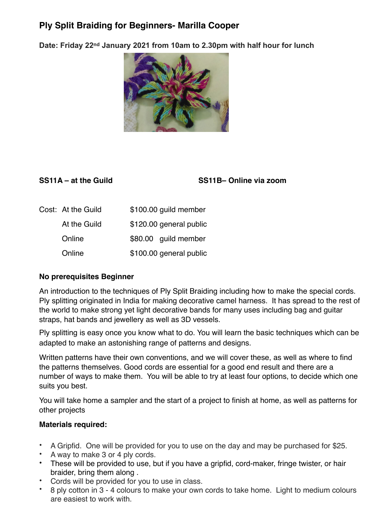## **Ply Split Braiding for Beginners- Marilla Cooper**

**Date: Friday 22nd January 2021 from 10am to 2.30pm with half hour for lunch** 



**SS11A – at the Guild SS11B– Online via zoom**

| Cost: At the Guild | \$100.00 guild member   |
|--------------------|-------------------------|
| At the Guild       | \$120.00 general public |
| Online             | \$80.00 guild member    |
| Online             | \$100.00 general public |

## **No prerequisites Beginner**

An introduction to the techniques of Ply Split Braiding including how to make the special cords. Ply splitting originated in India for making decorative camel harness. It has spread to the rest of the world to make strong yet light decorative bands for many uses including bag and guitar straps, hat bands and jewellery as well as 3D vessels.

Ply splitting is easy once you know what to do. You will learn the basic techniques which can be adapted to make an astonishing range of patterns and designs.

Written patterns have their own conventions, and we will cover these, as well as where to find the patterns themselves. Good cords are essential for a good end result and there are a number of ways to make them. You will be able to try at least four options, to decide which one suits you best.

You will take home a sampler and the start of a project to finish at home, as well as patterns for other projects

## **Materials required:**

- A Gripfid. One will be provided for you to use on the day and may be purchased for \$25.
- A way to make 3 or 4 ply cords.
- These will be provided to use, but if you have a gripfid, cord-maker, fringe twister, or hair braider, bring them along .
- Cords will be provided for you to use in class.
- 8 ply cotton in 3 4 colours to make your own cords to take home. Light to medium colours are easiest to work with.